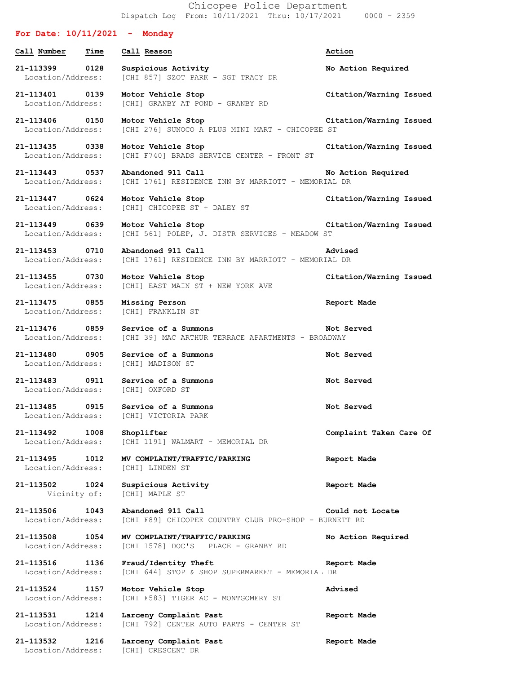Chicopee Police Department Dispatch Log From: 10/11/2021 Thru: 10/17/2021 0000 - 2359

## **For Date: 10/11/2021 - Monday Call Number Time Call Reason Action 21-113399 0128 Suspicious Activity No Action Required** Location/Address: [CHI 857] SZOT PARK - SGT TRACY DR **21-113401 0139 Motor Vehicle Stop Citation/Warning Issued** Location/Address: [CHI] GRANBY AT POND - GRANBY RD **21-113406 0150 Motor Vehicle Stop Citation/Warning Issued** Location/Address: [CHI 276] SUNOCO A PLUS MINI MART - CHICOPEE ST **21-113435 0338 Motor Vehicle Stop Citation/Warning Issued** Location/Address: [CHI F740] BRADS SERVICE CENTER - FRONT ST **21-113443 0537 Abandoned 911 Call No Action Required** Location/Address: [CHI 1761] RESIDENCE INN BY MARRIOTT - MEMORIAL DR **21-113447 0624 Motor Vehicle Stop Citation/Warning Issued** Location/Address: [CHI] CHICOPEE ST + DALEY ST **21-113449 0639 Motor Vehicle Stop Citation/Warning Issued** Location/Address: [CHI 561] POLEP, J. DISTR SERVICES - MEADOW ST **21-113453 0710 Abandoned 911 Call Advised** [CHI 1761] RESIDENCE INN BY MARRIOTT - MEMORIAL DR **21-113455 0730 Motor Vehicle Stop Citation/Warning Issued** Location/Address: [CHI] EAST MAIN ST + NEW YORK AVE **21-113475 0855 Missing Person Report Made** Location/Address: [CHI] FRANKLIN ST **21-113476 0859 Service of a Summons Not Served** Location/Address: [CHI 39] MAC ARTHUR TERRACE APARTMENTS - BROADWAY **21-113480 0905 Service of a Summons Not Served** Location/Address: [CHI] MADISON ST **21-113483 0911 Service of a Summons Not Served** Location/Address: [CHI] OXFORD ST **21-113485 0915 Service of a Summons Not Served** Location/Address: [CHI] VICTORIA PARK **21-113492 1008 Shoplifter Complaint Taken Care Of** Location/Address: [CHI 1191] WALMART - MEMORIAL DR **21-113495 1012 MV COMPLAINT/TRAFFIC/PARKING Report Made** Location/Address: [CHI] LINDEN ST **21-113502 1024 Suspicious Activity Report Made** Vicinity of: [CHI] MAPLE ST **21-113506 1043 Abandoned 911 Call Could not Locate** Location/Address: [CHI F89] CHICOPEE COUNTRY CLUB PRO-SHOP - BURNETT RD **21-113508 1054 MV COMPLAINT/TRAFFIC/PARKING No Action Required** Location/Address: [CHI 1578] DOC'S PLACE - GRANBY RD **21-113516 1136 Fraud/Identity Theft Report Made** Location/Address: [CHI 644] STOP & SHOP SUPERMARKET - MEMORIAL DR **21-113524 1157 Motor Vehicle Stop Advised** Location/Address: [CHI F583] TIGER AC - MONTGOMERY ST **21-113531 1214 Larceny Complaint Past Report Made** Location/Address: [CHI 792] CENTER AUTO PARTS - CENTER ST **21-113532 1216 Larceny Complaint Past Report Made** Location/Address: [CHI] CRESCENT DR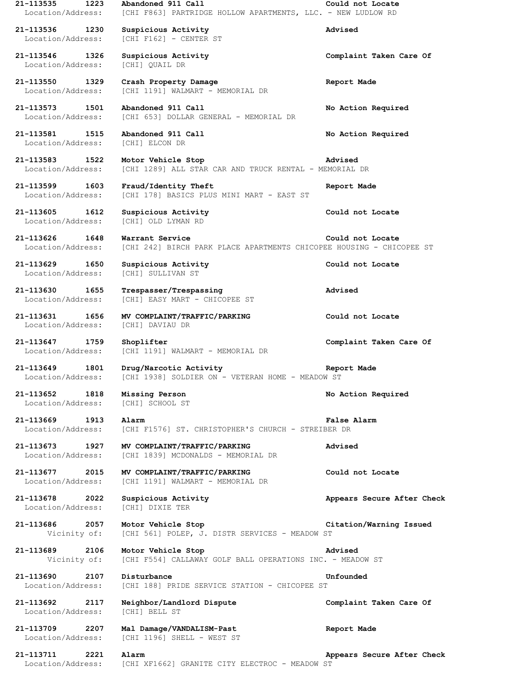**21-113535 1223 Abandoned 911 Call Could not Locate** Location/Address: [CHI F863] PARTRIDGE HOLLOW APARTMENTS, LLC. - NEW LUDLOW RD **21-113536 1230 Suspicious Activity Advised** Location/Address: [CHI F162] - CENTER ST **21-113546 1326 Suspicious Activity Complaint Taken Care Of** Location/Address: [CHI] QUAIL DR **21-113550 1329 Crash Property Damage Report Made** Location/Address: [CHI 1191] WALMART - MEMORIAL DR **21-113573 1501 Abandoned 911 Call No Action Required** [CHI 653] DOLLAR GENERAL - MEMORIAL DR **21-113581 1515 Abandoned 911 Call No Action Required** Location/Address: [CHI] ELCON DR **21-113583 1522 Motor Vehicle Stop Advised** Location/Address: [CHI 1289] ALL STAR CAR AND TRUCK RENTAL - MEMORIAL DR **21-113599 1603 Fraud/Identity Theft Report Made** Location/Address: [CHI 178] BASICS PLUS MINI MART - EAST ST **21-113605 1612 Suspicious Activity Could not Locate** Location/Address: [CHI] OLD LYMAN RD **21-113626 1648 Warrant Service Could not Locate** Location/Address: [CHI 242] BIRCH PARK PLACE APARTMENTS CHICOPEE HOUSING - CHICOPEE ST **21-113629 1650 Suspicious Activity Could not Locate** Location/Address: [CHI] SULLIVAN ST **21-113630 1655 Trespasser/Trespassing Advised** Location/Address: [CHI] EASY MART - CHICOPEE ST **21-113631 1656 MV COMPLAINT/TRAFFIC/PARKING Could not Locate** Location/Address: [CHI] DAVIAU DR **21-113647 1759 Shoplifter Complaint Taken Care Of** Location/Address: [CHI 1191] WALMART - MEMORIAL DR **21-113649 1801 Drug/Narcotic Activity Report Made** Location/Address: [CHI 1938] SOLDIER ON - VETERAN HOME - MEADOW ST **21-113652 1818 Missing Person No Action Required** Location/Address: [CHI] SCHOOL ST **21-113669 1913 Alarm False Alarm** Location/Address: [CHI F1576] ST. CHRISTOPHER'S CHURCH - STREIBER DR **21-113673 1927 MV COMPLAINT/TRAFFIC/PARKING Advised** Location/Address: [CHI 1839] MCDONALDS - MEMORIAL DR **21-113677 2015 MV COMPLAINT/TRAFFIC/PARKING Could not Locate** Location/Address: [CHI 1191] WALMART - MEMORIAL DR **21-113678 2022 Suspicious Activity Appears Secure After Check** Location/Address: [CHI] DIXIE TER **21-113686 2057 Motor Vehicle Stop Citation/Warning Issued** Vicinity of: [CHI 561] POLEP, J. DISTR SERVICES - MEADOW ST **21-113689 2106 Motor Vehicle Stop Advised** Vicinity of: [CHI F554] CALLAWAY GOLF BALL OPERATIONS INC. - MEADOW ST **21-113690 2107 Disturbance Unfounded** Location/Address: [CHI 188] PRIDE SERVICE STATION - CHICOPEE ST **21-113692 2117 Neighbor/Landlord Dispute Complaint Taken Care Of** Location/Address: [CHI] BELL ST **21-113709 2207 Mal Damage/VANDALISM-Past Report Made** Location/Address: [CHI 1196] SHELL - WEST ST **21-113711 2221 Alarm Appears Secure After Check** Location/Address: [CHI XF1662] GRANITE CITY ELECTROC - MEADOW ST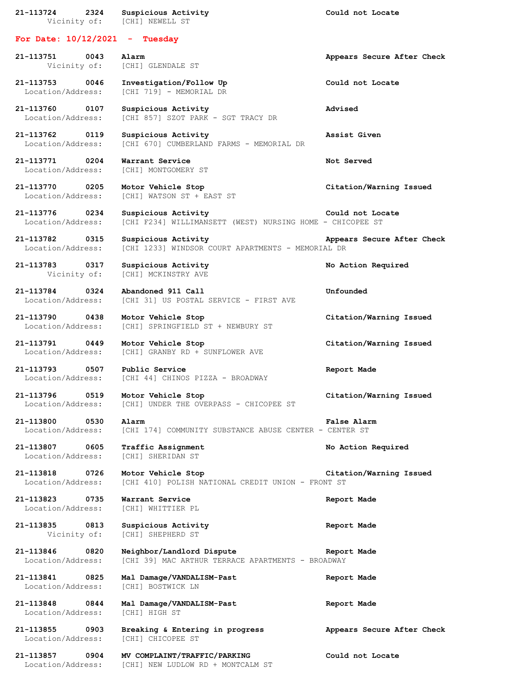| 21-113724<br>2324<br>Vicinity of: [CHI] NEWELL ST | Suspicious Activity                                                              | Could not Locate           |
|---------------------------------------------------|----------------------------------------------------------------------------------|----------------------------|
| For Date: $10/12/2021$ - Tuesday                  |                                                                                  |                            |
| 21-113751<br>0043<br>Vicinity of:                 | Alarm<br>[CHI] GLENDALE ST                                                       | Appears Secure After Check |
| 21-113753<br>0046<br>Location/Address:            | Investigation/Follow Up<br>[CHI 719] - MEMORIAL DR                               | Could not Locate           |
| 21-113760 0107<br>Location/Address:               | Suspicious Activity<br>[CHI 857] SZOT PARK - SGT TRACY DR                        | Advised                    |
| 21-113762<br>0119<br>Location/Address:            | Suspicious Activity<br>[CHI 670] CUMBERLAND FARMS - MEMORIAL DR                  | Assist Given               |
| 21-113771<br>0204<br>Location/Address:            | Warrant Service<br>[CHI] MONTGOMERY ST                                           | Not Served                 |
| 21-113770<br>0205<br>Location/Address:            | Motor Vehicle Stop<br>[CHI] WATSON ST + EAST ST                                  | Citation/Warning Issued    |
| 21-113776<br>0234<br>Location/Address:            | Suspicious Activity<br>[CHI F234] WILLIMANSETT (WEST) NURSING HOME - CHICOPEE ST | Could not Locate           |
| 21-113782 0315<br>Location/Address:               | Suspicious Activity<br>[CHI 1233] WINDSOR COURT APARTMENTS - MEMORIAL DR         | Appears Secure After Check |
| 21-113783<br>0317<br>Vicinity of:                 | Suspicious Activity<br>[CHI] MCKINSTRY AVE                                       | No Action Required         |
| 21-113784<br>0324<br>Location/Address:            | Abandoned 911 Call<br>[CHI 31] US POSTAL SERVICE - FIRST AVE                     | Unfounded                  |
| 21-113790<br>0438<br>Location/Address:            | Motor Vehicle Stop<br>[CHI] SPRINGFIELD ST + NEWBURY ST                          | Citation/Warning Issued    |
| 21-113791 0449<br>Location/Address:               | Motor Vehicle Stop<br>[CHI] GRANBY RD + SUNFLOWER AVE                            | Citation/Warning Issued    |
| 21-113793<br>0507<br>Location/Address:            | Public Service<br>[CHI 44] CHINOS PIZZA - BROADWAY                               | Report Made                |
| 21-113796 0519<br>Location/Address:               | Motor Vehicle Stop<br>[CHI] UNDER THE OVERPASS - CHICOPEE ST                     | Citation/Warning Issued    |
| 21-113800 0530<br>Location/Address:               | Alarm<br>[CHI 174] COMMUNITY SUBSTANCE ABUSE CENTER - CENTER ST                  | False Alarm                |
| 21-113807<br>0605<br>Location/Address:            | Traffic Assignment<br>[CHI] SHERIDAN ST                                          | No Action Required         |
| 21-113818<br>0726<br>Location/Address:            | Motor Vehicle Stop<br>[CHI 410] POLISH NATIONAL CREDIT UNION - FRONT ST          | Citation/Warning Issued    |
| 21-113823<br>0735<br>Location/Address:            | Warrant Service<br>[CHI] WHITTIER PL                                             | Report Made                |
| 21-113835<br>0813<br>Vicinity of:                 | Suspicious Activity<br>[CHI] SHEPHERD ST                                         | Report Made                |
| 21-113846<br>0820<br>Location/Address:            | Neighbor/Landlord Dispute<br>[CHI 39] MAC ARTHUR TERRACE APARTMENTS - BROADWAY   | Report Made                |
| 21-113841<br>0825<br>Location/Address:            | Mal Damage/VANDALISM-Past<br>[CHI] BOSTWICK LN                                   | Report Made                |
| 21-113848 0844<br>Location/Address:               | Mal Damage/VANDALISM-Past<br>[CHI] HIGH ST                                       | Report Made                |
| 21-113855<br>0903<br>Location/Address:            | Breaking & Entering in progress<br>[CHI] CHICOPEE ST                             | Appears Secure After Check |
| 21-113857<br>0904<br>Location/Address:            | MV COMPLAINT/TRAFFIC/PARKING<br>[CHI] NEW LUDLOW RD + MONTCALM ST                | Could not Locate           |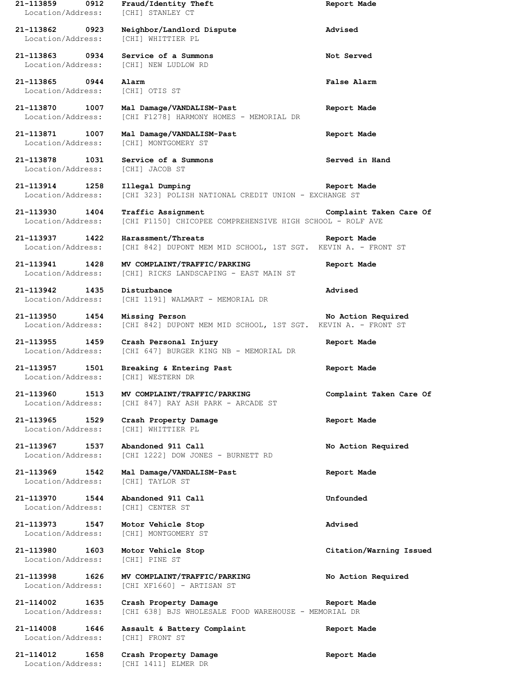**21-113859 0912 Fraud/Identity Theft Report Made** Location/Address: [CHI] STANLEY CT **21-113862 0923 Neighbor/Landlord Dispute Advised** Location/Address: [CHI] WHITTIER PL **21-113863 0934 Service of a Summons Not Served** Location/Address: [CHI] NEW LUDLOW RD **21-113865 0944 Alarm False Alarm** Location/Address: [CHI] OTIS ST **21-113870 1007 Mal Damage/VANDALISM-Past Report Made** Location/Address: [CHI F1278] HARMONY HOMES - MEMORIAL DR **21-113871 1007 Mal Damage/VANDALISM-Past Report Made** Location/Address: [CHI] MONTGOMERY ST **21-113878 1031 Service of a Summons Served in Hand** Location/Address: [CHI] JACOB ST **21-113914 1258 Illegal Dumping Report Made** Location/Address: [CHI 323] POLISH NATIONAL CREDIT UNION - EXCHANGE ST **21-113930 1404 Traffic Assignment Complaint Taken Care Of** Location/Address: [CHI F1150] CHICOPEE COMPREHENSIVE HIGH SCHOOL - ROLF AVE **21-113937 1422 Harassment/Threats Report Made** Location/Address: [CHI 842] DUPONT MEM MID SCHOOL, 1ST SGT. KEVIN A. - FRONT ST **21-113941 1428 MV COMPLAINT/TRAFFIC/PARKING Report Made** Location/Address: [CHI] RICKS LANDSCAPING - EAST MAIN ST **21-113942 1435 Disturbance Advised** Location/Address: [CHI 1191] WALMART - MEMORIAL DR **21-113950 1454 Missing Person No Action Required** Location/Address: [CHI 842] DUPONT MEM MID SCHOOL, 1ST SGT. KEVIN A. - FRONT ST **21-113955 1459 Crash Personal Injury Report Made** Location/Address: [CHI 647] BURGER KING NB - MEMORIAL DR **21-113957 1501 Breaking & Entering Past Report Made** Location/Address: [CHI] WESTERN DR **21-113960 1513 MV COMPLAINT/TRAFFIC/PARKING Complaint Taken Care Of** [CHI 847] RAY ASH PARK - ARCADE ST **21-113965 1529 Crash Property Damage Report Made** Location/Address: [CHI] WHITTIER PL **21-113967 1537 Abandoned 911 Call No Action Required** Location/Address: [CHI 1222] DOW JONES - BURNETT RD **21-113969 1542 Mal Damage/VANDALISM-Past Report Made** Location/Address: [CHI] TAYLOR ST **21-113970 1544 Abandoned 911 Call Unfounded** Location/Address: [CHI] CENTER ST **21-113973 1547 Motor Vehicle Stop Advised** Location/Address: [CHI] MONTGOMERY ST **21-113980 1603 Motor Vehicle Stop Citation/Warning Issued** Location/Address: [CHI] PINE ST **21-113998 1626 MV COMPLAINT/TRAFFIC/PARKING No Action Required** Location/Address: [CHI XF1660] - ARTISAN ST **21-114002 1635 Crash Property Damage Report Made** Location/Address: [CHI 638] BJS WHOLESALE FOOD WAREHOUSE - MEMORIAL DR **21-114008 1646 Assault & Battery Complaint Report Made** Location/Address: [CHI] FRONT ST **21-114012 1658 Crash Property Damage Report Made**

Location/Address: [CHI 1411] ELMER DR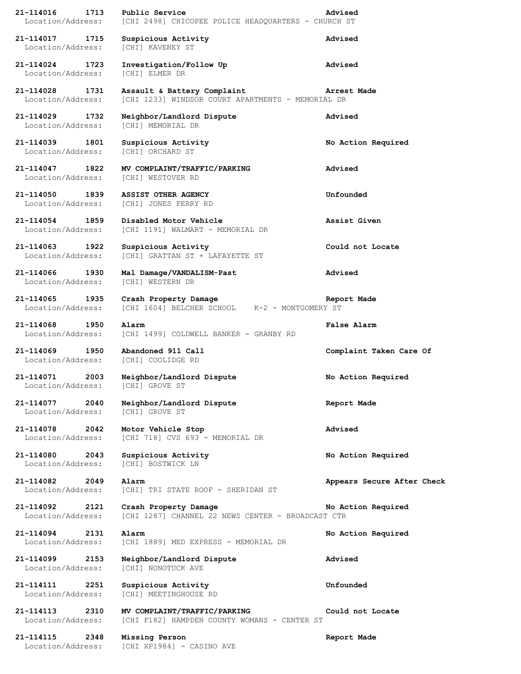| 21-114016<br>1713                      | Public Service                                                                   | Advised                    |
|----------------------------------------|----------------------------------------------------------------------------------|----------------------------|
| Location/Address:                      | [CHI 2498] CHICOPEE POLICE HEADQUARTERS - CHURCH ST                              |                            |
| 21-114017<br>1715<br>Location/Address: | Suspicious Activity<br>[CHI] KAVENEY ST                                          | Advised                    |
| 21-114024 1723<br>Location/Address:    | Investigation/Follow Up<br>[CHI] ELMER DR                                        | Advised                    |
| 21-114028<br>1731<br>Location/Address: | Assault & Battery Complaint<br>[CHI 1233] WINDSOR COURT APARTMENTS - MEMORIAL DR | Arrest Made                |
| 21-114029 1732<br>Location/Address:    | Neighbor/Landlord Dispute<br>[CHI] MEMORIAL DR                                   | Advised                    |
| 21-114039 1801<br>Location/Address:    | Suspicious Activity<br>[CHI] ORCHARD ST                                          | No Action Required         |
| 21-114047<br>1822<br>Location/Address: | MV COMPLAINT/TRAFFIC/PARKING<br>[CHI] WESTOVER RD                                | Advised                    |
| 21-114050 1839<br>Location/Address:    | ASSIST OTHER AGENCY<br>[CHI] JONES FERRY RD                                      | Unfounded                  |
| 21-114054<br>1859<br>Location/Address: | Disabled Motor Vehicle<br>[CHI 1191] WALMART - MEMORIAL DR                       | Assist Given               |
| 21-114063 1922<br>Location/Address:    | Suspicious Activity<br>[CHI] GRATTAN ST + LAFAYETTE ST                           | Could not Locate           |
| 21-114066<br>1930<br>Location/Address: | Mal Damage/VANDALISM-Past<br>[CHI] WESTERN DR                                    | Advised                    |
| 21-114065<br>1935<br>Location/Address: | Crash Property Damage<br>[CHI 1604] BELCHER SCHOOL K-2 - MONTGOMERY ST           | Report Made                |
| 21-114068<br>1950<br>Location/Address: | Alarm<br>[CHI 1499] COLDWELL BANKER - GRANBY RD                                  | <b>False Alarm</b>         |
| 21-114069<br>1950<br>Location/Address: | Abandoned 911 Call<br>[CHI] COOLIDGE RD                                          | Complaint Taken Care Of    |
| 21-114071<br>2003<br>Location/Address: | Neighbor/Landlord Dispute<br><b>[CHI] GROVE ST</b>                               | No Action Required         |
| 21-114077<br>2040<br>Location/Address: | Neighbor/Landlord Dispute<br>[CHI] GROVE ST                                      | Report Made                |
| 21-114078<br>2042<br>Location/Address: | Motor Vehicle Stop<br>[CHI 718] CVS 693 - MEMORIAL DR                            | Advised                    |
| 21-114080<br>2043<br>Location/Address: | Suspicious Activity<br>[CHI] BOSTWICK LN                                         | No Action Required         |
| 21-114082<br>2049<br>Location/Address: | Alarm<br>[CHI] TRI STATE ROOF - SHERIDAN ST                                      | Appears Secure After Check |
| 21-114092<br>2121<br>Location/Address: | Crash Property Damage<br>[CHI 1287] CHANNEL 22 NEWS CENTER - BROADCAST CTR       | No Action Required         |
| 21-114094<br>2131<br>Location/Address: | Alarm<br>[CHI 1889] MED EXPRESS - MEMORIAL DR                                    | No Action Required         |
| 21-114099<br>2153<br>Location/Address: | Neighbor/Landlord Dispute<br>[CHI] NONOTUCK AVE                                  | Advised                    |
| 21-114111<br>2251<br>Location/Address: | Suspicious Activity<br>[CHI] MEETINGHOUSE RD                                     | Unfounded                  |
| 21-114113<br>2310<br>Location/Address: | MV COMPLAINT/TRAFFIC/PARKING<br>[CHI F182] HAMPDEN COUNTY WOMANS - CENTER ST     | Could not Locate           |
| 21-114115<br>2348<br>Location/Address: | Missing Person<br>[CHI XP1984] - CASINO AVE                                      | Report Made                |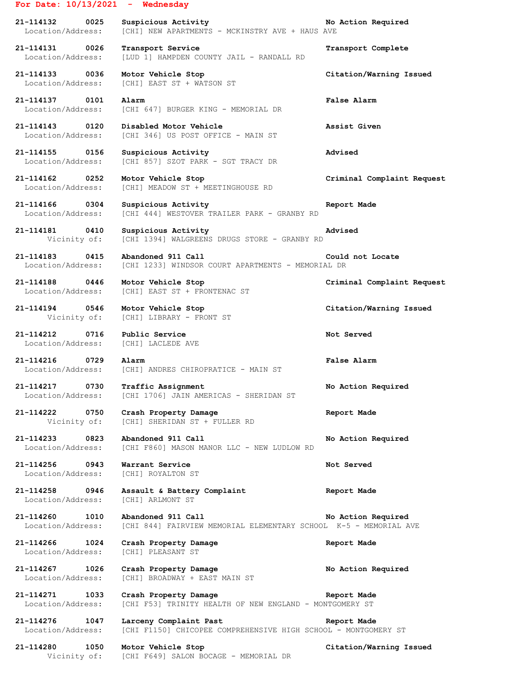## **For Date: 10/13/2021 - Wednesday**

**21-114132 0025 Suspicious Activity No Action Required** Location/Address: [CHI] NEW APARTMENTS - MCKINSTRY AVE + HAUS AVE

**21-114131 0026 Transport Service Transport Complete** Location/Address: [LUD 1] HAMPDEN COUNTY JAIL - RANDALL RD

**21-114133 0036 Motor Vehicle Stop Citation/Warning Issued** Location/Address: [CHI] EAST ST + WATSON ST

**21-114137 0101 Alarm False Alarm** Location/Address: [CHI 647] BURGER KING - MEMORIAL DR

**21-114143 0120 Disabled Motor Vehicle Assist Given** Location/Address: [CHI 346] US POST OFFICE - MAIN ST

**21-114155 0156 Suspicious Activity Advised** Location/Address: [CHI 857] SZOT PARK - SGT TRACY DR

**21-114162 0252 Motor Vehicle Stop Criminal Complaint Request** Location/Address: [CHI] MEADOW ST + MEETINGHOUSE RD

**21-114166 0304 Suspicious Activity Report Made** Location/Address: [CHI 444] WESTOVER TRAILER PARK - GRANBY RD

**21-114181 0410 Suspicious Activity Advised** Vicinity of: [CHI 1394] WALGREENS DRUGS STORE - GRANBY RD

**21-114183 0415 Abandoned 911 Call Could not Locate** Location/Address: [CHI 1233] WINDSOR COURT APARTMENTS - MEMORIAL DR

**21-114188 0446 Motor Vehicle Stop Criminal Complaint Request** Location/Address: [CHI] EAST ST + FRONTENAC ST

**21-114194 0546 Motor Vehicle Stop Citation/Warning Issued** Vicinity of: [CHI] LIBRARY - FRONT ST

**21-114212 0716 Public Service Not Served** Location/Address: [CHI] LACLEDE AVE

**21-114216 0729 Alarm False Alarm** Location/Address: [CHI] ANDRES CHIROPRATICE - MAIN ST

**21-114217 0730 Traffic Assignment No Action Required** Location/Address: [CHI 1706] JAIN AMERICAS - SHERIDAN ST

**21-114222 0750 Crash Property Damage Report Made** Vicinity of: [CHI] SHERIDAN ST + FULLER RD

**21-114233 0823 Abandoned 911 Call No Action Required** Location/Address: [CHI F860] MASON MANOR LLC - NEW LUDLOW RD

**21-114256 0943 Warrant Service Not Served** Location/Address: [CHI] ROYALTON ST

**21-114258 0946 Assault & Battery Complaint Report Made** Location/Address: [CHI] ARLMONT ST

**21-114260 1010 Abandoned 911 Call No Action Required** Location/Address: [CHI 844] FAIRVIEW MEMORIAL ELEMENTARY SCHOOL K-5 - MEMORIAL AVE

**21-114266 1024 Crash Property Damage Report Made** Location/Address: [CHI] PLEASANT ST

**21-114267 1026 Crash Property Damage No Action Required** Location/Address: [CHI] BROADWAY + EAST MAIN ST

**21-114271 1033 Crash Property Damage Report Made** Location/Address: [CHI F53] TRINITY HEALTH OF NEW ENGLAND - MONTGOMERY ST

**21-114276 1047 Larceny Complaint Past Report Made** Location/Address: [CHI F1150] CHICOPEE COMPREHENSIVE HIGH SCHOOL - MONTGOMERY ST

Vicinity of: [CHI F649] SALON BOCAGE - MEMORIAL DR

**21-114280 1050 Motor Vehicle Stop Citation/Warning Issued**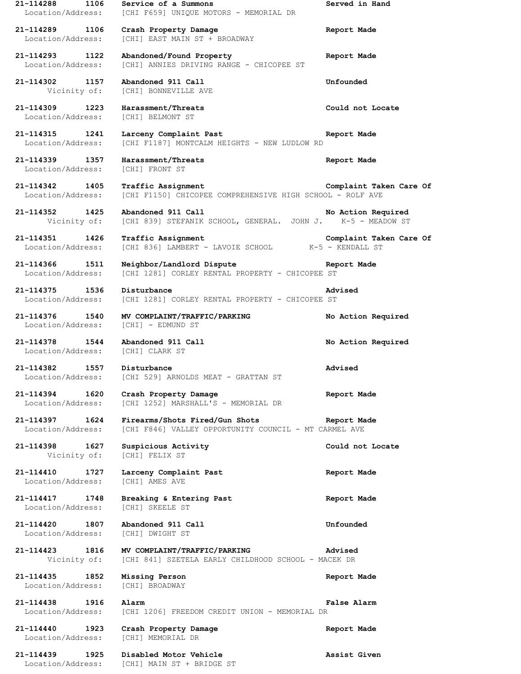**21-114288 1106 Service of a Summons Served in Hand** Location/Address: [CHI F659] UNIQUE MOTORS - MEMORIAL DR **21-114289 1106 Crash Property Damage Report Made** Location/Address: [CHI] EAST MAIN ST + BROADWAY **21-114293 1122 Abandoned/Found Property Report Made** Location/Address: [CHI] ANNIES DRIVING RANGE - CHICOPEE ST **21-114302 1157 Abandoned 911 Call Unfounded** Vicinity of: [CHI] BONNEVILLE AVE **21-114309 1223 Harassment/Threats Could not Locate** Location/Address: [CHI] BELMONT ST **21-114315 1241 Larceny Complaint Past Report Made** Location/Address: [CHI F1187] MONTCALM HEIGHTS - NEW LUDLOW RD **21-114339 1357 Harassment/Threats Report Made** Location/Address: [CHI] FRONT ST **21-114342 1405 Traffic Assignment Complaint Taken Care Of** Location/Address: [CHI F1150] CHICOPEE COMPREHENSIVE HIGH SCHOOL - ROLF AVE **21-114352 1425 Abandoned 911 Call No Action Required** Vicinity of: [CHI 839] STEFANIK SCHOOL, GENERAL. JOHN J. K-5 - MEADOW ST **21-114351 1426 Traffic Assignment Complaint Taken Care Of** Location/Address: [CHI 836] LAMBERT - LAVOIE SCHOOL K-5 - KENDALL ST **21-114366 1511 Neighbor/Landlord Dispute Report Made** Location/Address: [CHI 1281] CORLEY RENTAL PROPERTY - CHICOPEE ST **21-114375 1536 Disturbance Advised** Location/Address: [CHI 1281] CORLEY RENTAL PROPERTY - CHICOPEE ST **21-114376 1540 MV COMPLAINT/TRAFFIC/PARKING No Action Required** Location/Address: [CHI] - EDMUND ST **21-114378 1544 Abandoned 911 Call No Action Required** Location/Address: [CHI] CLARK ST **21-114382 1557 Disturbance Advised** Location/Address: [CHI 529] ARNOLDS MEAT - GRATTAN ST **21-114394 1620 Crash Property Damage Report Made** Location/Address: [CHI 1252] MARSHALL'S - MEMORIAL DR **21-114397 1624 Firearms/Shots Fired/Gun Shots Report Made** Location/Address: [CHI F846] VALLEY OPPORTUNITY COUNCIL - MT CARMEL AVE **21-114398 1627 Suspicious Activity Could not Locate** Vicinity of: [CHI] FELIX ST **21-114410 1727 Larceny Complaint Past Report Made** Location/Address: [CHI] AMES AVE **21-114417 1748 Breaking & Entering Past Report Made** Location/Address: [CHI] SKEELE ST **21-114420 1807 Abandoned 911 Call Unfounded** Location/Address: [CHI] DWIGHT ST **21-114423 1816 MV COMPLAINT/TRAFFIC/PARKING Advised** Vicinity of: [CHI 841] SZETELA EARLY CHILDHOOD SCHOOL - MACEK DR **21-114435 1852 Missing Person Report Made** Location/Address: [CHI] BROADWAY **21-114438 1916 Alarm False Alarm** Location/Address: [CHI 1206] FREEDOM CREDIT UNION - MEMORIAL DR **21-114440 1923 Crash Property Damage Report Made** Location/Address: [CHI] MEMORIAL DR **21-114439 1925 Disabled Motor Vehicle Assist Given** Location/Address: [CHI] MAIN ST + BRIDGE ST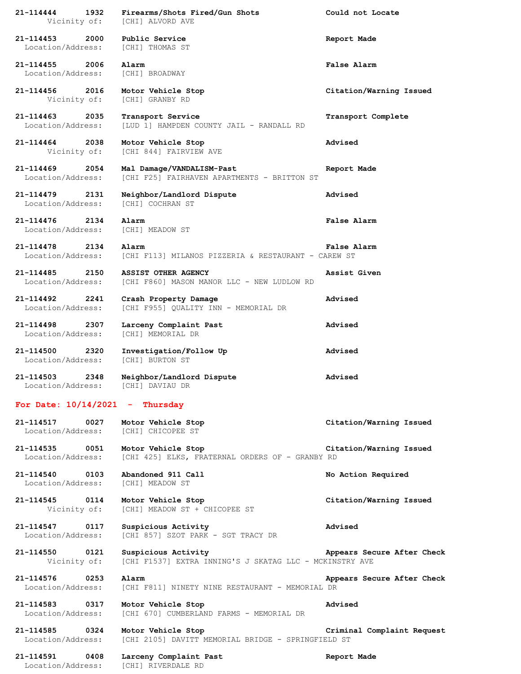| 1932<br>21-114444                      | Firearms/Shots Fired/Gun Shots<br>Vicinity of: [CHI] ALVORD AVE                | Could not Locate           |
|----------------------------------------|--------------------------------------------------------------------------------|----------------------------|
| 21-114453<br>2000<br>Location/Address: | Public Service<br>[CHI] THOMAS ST                                              | Report Made                |
| 21-114455<br>2006<br>Location/Address: | Alarm<br>[CHI] BROADWAY                                                        | False Alarm                |
| 21-114456<br>2016<br>Vicinity of:      | Motor Vehicle Stop<br>[CHI] GRANBY RD                                          | Citation/Warning Issued    |
| 21-114463<br>2035<br>Location/Address: | Transport Service<br>[LUD 1] HAMPDEN COUNTY JAIL - RANDALL RD                  | Transport Complete         |
| 21-114464 2038<br>Vicinity of:         | Motor Vehicle Stop<br>[CHI 844] FAIRVIEW AVE                                   | Advised                    |
| 21-114469<br>2054<br>Location/Address: | Mal Damage/VANDALISM-Past<br>[CHI F25] FAIRHAVEN APARTMENTS - BRITTON ST       | Report Made                |
| 21-114479 2131<br>Location/Address:    | Neighbor/Landlord Dispute<br>[CHI] COCHRAN ST                                  | Advised                    |
| 21-114476<br>2134<br>Location/Address: | Alarm<br>[CHI] MEADOW ST                                                       | False Alarm                |
| 21-114478<br>2134<br>Location/Address: | Alarm<br>[CHI F113] MILANOS PIZZERIA & RESTAURANT - CAREW ST                   | False Alarm                |
| 21-114485<br>2150<br>Location/Address: | ASSIST OTHER AGENCY<br>[CHI F860] MASON MANOR LLC - NEW LUDLOW RD              | Assist Given               |
| 21-114492<br>2241<br>Location/Address: | Crash Property Damage<br>[CHI F955] QUALITY INN - MEMORIAL DR                  | Advised                    |
| 21-114498<br>2307<br>Location/Address: | Larceny Complaint Past<br>[CHI] MEMORIAL DR                                    | Advised                    |
| 21-114500<br>2320<br>Location/Address: | Investigation/Follow Up<br>[CHI] BURTON ST                                     | Advised                    |
| 21-114503<br>2348                      | Neighbor/Landlord Dispute<br>Location/Address: [CHI] DAVIAU DR                 | Advised                    |
| For Date: $10/14/2021$ - Thursday      |                                                                                |                            |
| 21-114517<br>0027<br>Location/Address: | Motor Vehicle Stop<br>[CHI] CHICOPEE ST                                        | Citation/Warning Issued    |
| 21-114535 0051<br>Location/Address:    | Motor Vehicle Stop<br>[CHI 425] ELKS, FRATERNAL ORDERS OF - GRANBY RD          | Citation/Warning Issued    |
| 21-114540 0103<br>Location/Address:    | Abandoned 911 Call<br>[CHI] MEADOW ST                                          | No Action Required         |
| 21-114545 0114<br>Vicinity of:         | Motor Vehicle Stop<br>[CHI] MEADOW ST + CHICOPEE ST                            | Citation/Warning Issued    |
| 21-114547 0117<br>Location/Address:    | Suspicious Activity<br>[CHI 857] SZOT PARK - SGT TRACY DR                      | Advised                    |
| 21-114550 0121<br>Vicinity of:         | Suspicious Activity<br>[CHI F1537] EXTRA INNING'S J SKATAG LLC - MCKINSTRY AVE | Appears Secure After Check |
| 21-114576 0253<br>Location/Address:    | Alarm<br>[CHI F811] NINETY NINE RESTAURANT - MEMORIAL DR                       | Appears Secure After Check |
| 21-114583 0317<br>Location/Address:    | Motor Vehicle Stop<br>[CHI 670] CUMBERLAND FARMS - MEMORIAL DR                 | Advised                    |
| 21-114585 0324<br>Location/Address:    | Motor Vehicle Stop<br>[CHI 2105] DAVITT MEMORIAL BRIDGE - SPRINGFIELD ST       | Criminal Complaint Request |
| 21-114591 0408<br>Location/Address:    | Larceny Complaint Past<br>[CHI] RIVERDALE RD                                   | Report Made                |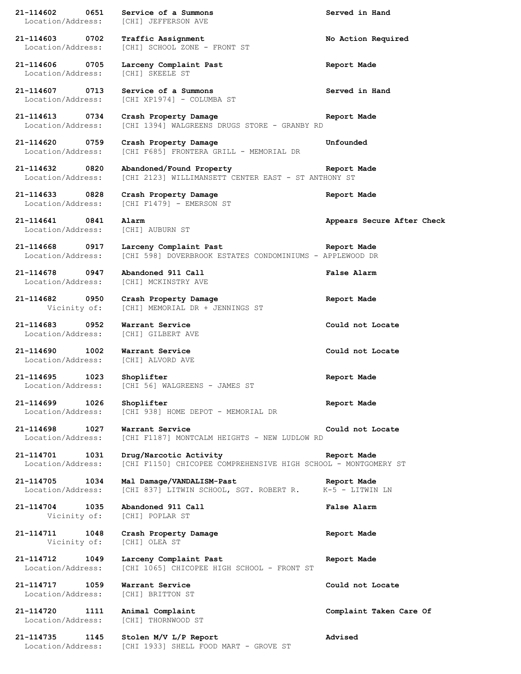**21-114602 0651 Service of a Summons Served in Hand** Location/Address: [CHI] JEFFERSON AVE **21-114603 0702 Traffic Assignment No Action Required** Location/Address: [CHI] SCHOOL ZONE - FRONT ST **21-114606 0705 Larceny Complaint Past Report Made** Location/Address: [CHI] SKEELE ST **21-114607 0713 Service of a Summons Served in Hand** Location/Address: [CHI XP1974] - COLUMBA ST **21-114613 0734 Crash Property Damage Report Made** Location/Address: [CHI 1394] WALGREENS DRUGS STORE - GRANBY RD **21-114620 0759 Crash Property Damage Unfounded** Location/Address: [CHI F685] FRONTERA GRILL - MEMORIAL DR **21-114632 0820 Abandoned/Found Property Report Made** Location/Address: [CHI 2123] WILLIMANSETT CENTER EAST - ST ANTHONY ST **21-114633 0828 Crash Property Damage Report Made** Location/Address: [CHI F1479] - EMERSON ST **21-114641 0841 Alarm Appears Secure After Check** Location/Address: [CHI] AUBURN ST **21-114668 0917 Larceny Complaint Past Report Made** Location/Address: [CHI 598] DOVERBROOK ESTATES CONDOMINIUMS - APPLEWOOD DR **21-114678 0947 Abandoned 911 Call False Alarm** Location/Address: [CHI] MCKINSTRY AVE **21-114682 0950 Crash Property Damage Report Made** Vicinity of: [CHI] MEMORIAL DR + JENNINGS ST **21-114683 0952 Warrant Service Could not Locate** Location/Address: [CHI] GILBERT AVE **21-114690 1002 Warrant Service Could not Locate** Location/Address: [CHI] ALVORD AVE **21-114695 1023 Shoplifter Report Made** Location/Address: [CHI 56] WALGREENS - JAMES ST **21-114699 1026 Shoplifter Report Made** Location/Address: [CHI 938] HOME DEPOT - MEMORIAL DR **21-114698 1027 Warrant Service Could not Locate** Location/Address: [CHI F1187] MONTCALM HEIGHTS - NEW LUDLOW RD **21-114701 1031 Drug/Narcotic Activity Report Made** Location/Address: [CHI F1150] CHICOPEE COMPREHENSIVE HIGH SCHOOL - MONTGOMERY ST **21-114705 1034 Mal Damage/VANDALISM-Past Report Made** Location/Address: [CHI 837] LITWIN SCHOOL, SGT. ROBERT R. K-5 - LITWIN LN **21-114704 1035 Abandoned 911 Call False Alarm** Vicinity of: [CHI] POPLAR ST **21-114711 1048 Crash Property Damage Report Made** Vicinity of: [CHI] OLEA ST **21-114712 1049 Larceny Complaint Past Report Made** Location/Address: [CHI 1065] CHICOPEE HIGH SCHOOL - FRONT ST **21-114717 1059 Warrant Service Could not Locate** Location/Address: [CHI] BRITTON ST **21-114720 1111 Animal Complaint Complaint Taken Care Of** Location/Address: [CHI] THORNWOOD ST **21-114735 1145 Stolen M/V L/P Report Advised** Location/Address: [CHI 1933] SHELL FOOD MART - GROVE ST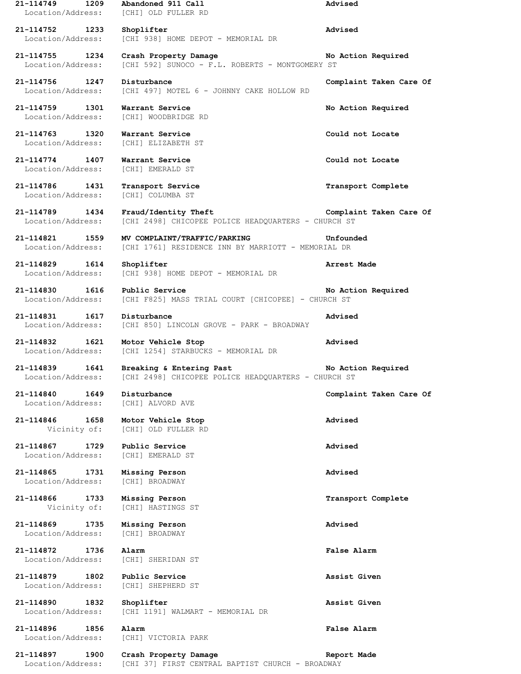**21-114749 1209 Abandoned 911 Call Advised** Location/Address: [CHI] OLD FULLER RD **21-114752 1233 Shoplifter Advised** Location/Address: [CHI 938] HOME DEPOT - MEMORIAL DR **21-114755 1234 Crash Property Damage No Action Required** Location/Address: [CHI 592] SUNOCO - F.L. ROBERTS - MONTGOMERY ST **21-114756 1247 Disturbance Complaint Taken Care Of** Location/Address: [CHI 497] MOTEL 6 - JOHNNY CAKE HOLLOW RD **21-114759 1301 Warrant Service No Action Required** Location/Address: [CHI] WOODBRIDGE RD **21-114763 1320 Warrant Service Could not Locate** Location/Address: [CHI] ELIZABETH ST **21-114774 1407 Warrant Service Could not Locate** Location/Address: [CHI] EMERALD ST **21-114786 1431 Transport Service Transport Complete** Location/Address: [CHI] COLUMBA ST **21-114789 1434 Fraud/Identity Theft Complaint Taken Care Of** Location/Address: [CHI 2498] CHICOPEE POLICE HEADQUARTERS - CHURCH ST **21-114821 1559 MV COMPLAINT/TRAFFIC/PARKING Unfounded** Location/Address: [CHI 1761] RESIDENCE INN BY MARRIOTT - MEMORIAL DR **21-114829 1614 Shoplifter Arrest Made** Location/Address: [CHI 938] HOME DEPOT - MEMORIAL DR **21-114830 1616 Public Service No Action Required** Location/Address: [CHI F825] MASS TRIAL COURT [CHICOPEE] - CHURCH ST **21-114831 1617 Disturbance Advised** Location/Address: [CHI 850] LINCOLN GROVE - PARK - BROADWAY **21-114832 1621 Motor Vehicle Stop Advised** Location/Address: [CHI 1254] STARBUCKS - MEMORIAL DR **21-114839 1641 Breaking & Entering Past No Action Required** Location/Address: [CHI 2498] CHICOPEE POLICE HEADQUARTERS - CHURCH ST **21-114840 1649 Disturbance Complaint Taken Care Of** Location/Address: [CHI] ALVORD AVE **21-114846 1658 Motor Vehicle Stop Advised** Vicinity of: [CHI] OLD FULLER RD **21-114867 1729 Public Service Advised** Location/Address: [CHI] EMERALD ST **21-114865 1731 Missing Person Advised** Location/Address: [CHI] BROADWAY **21-114866 1733 Missing Person Transport Complete** Vicinity of: [CHI] HASTINGS ST **21-114869 1735 Missing Person Advised** Location/Address: [CHI] BROADWAY **21-114872 1736 Alarm False Alarm** Location/Address: [CHI] SHERIDAN ST **21-114879 1802 Public Service Assist Given** Location/Address: [CHI] SHEPHERD ST **21-114890 1832 Shoplifter Assist Given** Location/Address: [CHI 1191] WALMART - MEMORIAL DR **21-114896 1856 Alarm False Alarm** Location/Address: [CHI] VICTORIA PARK **21-114897 1900 Crash Property Damage Report Made** Location/Address: [CHI 37] FIRST CENTRAL BAPTIST CHURCH - BROADWAY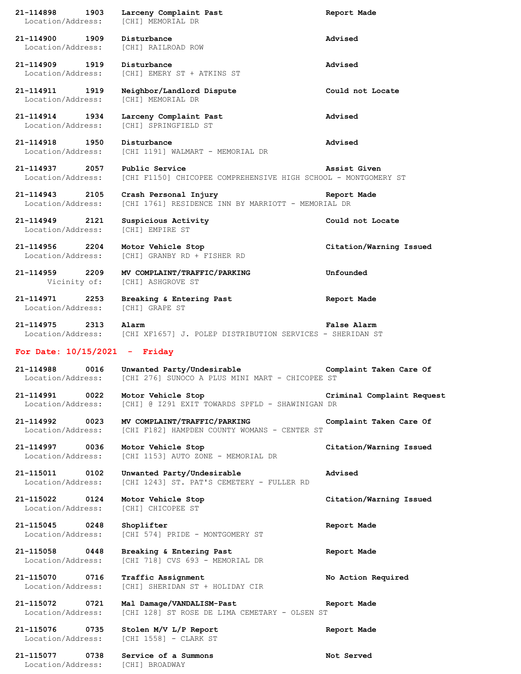| 21-114898 1903<br>Location/Address:    | Larceny Complaint Past<br>[CHI] MEMORIAL DR                                             | Report Made                |
|----------------------------------------|-----------------------------------------------------------------------------------------|----------------------------|
| 21-114900 1909<br>Location/Address:    | Disturbance<br>[CHI] RAILROAD ROW                                                       | Advised                    |
| 21-114909 1919<br>Location/Address:    | Disturbance<br>[CHI] EMERY ST + ATKINS ST                                               | Advised                    |
| 21-114911 1919<br>Location/Address:    | Neighbor/Landlord Dispute<br>[CHI] MEMORIAL DR                                          | Could not Locate           |
| 21-114914 1934<br>Location/Address:    | Larceny Complaint Past<br>[CHI] SPRINGFIELD ST                                          | Advised                    |
| 21-114918 1950<br>Location/Address:    | Disturbance<br>[CHI 1191] WALMART - MEMORIAL DR                                         | Advised                    |
| 21-114937 2057<br>Location/Address:    | Public Service<br>[CHI F1150] CHICOPEE COMPREHENSIVE HIGH SCHOOL - MONTGOMERY ST        | Assist Given               |
| 21-114943 2105<br>Location/Address:    | Crash Personal Injury<br>[CHI 1761] RESIDENCE INN BY MARRIOTT - MEMORIAL DR             | Report Made                |
| 21-114949 2121<br>Location/Address:    | Suspicious Activity<br>[CHI] EMPIRE ST                                                  | Could not Locate           |
| 21-114956 2204<br>Location/Address:    | Motor Vehicle Stop<br>[CHI] GRANBY RD + FISHER RD                                       | Citation/Warning Issued    |
| 21-114959 2209<br>Vicinity of:         | MV COMPLAINT/TRAFFIC/PARKING<br>[CHI] ASHGROVE ST                                       | Unfounded                  |
| 21-114971 2253<br>Location/Address:    | Breaking & Entering Past<br>[CHI] GRAPE ST                                              | Report Made                |
| 21-114975<br>2313                      | Alarm<br>Location/Address: [CHI XF1657] J. POLEP DISTRIBUTION SERVICES - SHERIDAN ST    | False Alarm                |
| For Date: $10/15/2021$ - Friday        |                                                                                         |                            |
| 21-114988<br>0016<br>Location/Address: | Unwanted Party/Undesirable<br>[CHI 276] SUNOCO A PLUS MINI MART - CHICOPEE ST           | Complaint Taken Care Of    |
| 21-114991 0022                         | Motor Vehicle Stop<br>Location/Address: [CHI] @ I291 EXIT TOWARDS SPFLD - SHAWINIGAN DR | Criminal Complaint Request |
| 21-114992 0023<br>Location/Address:    | MV COMPLAINT/TRAFFIC/PARKING<br>[CHI F182] HAMPDEN COUNTY WOMANS - CENTER ST            | Complaint Taken Care Of    |
| 21-114997 0036<br>Location/Address:    | Motor Vehicle Stop<br>[CHI 1153] AUTO ZONE - MEMORIAL DR                                | Citation/Warning Issued    |
| 21-115011 0102<br>Location/Address:    | Unwanted Party/Undesirable                                                              | Advised                    |
| 21-115022 0124<br>Location/Address:    | [CHI 1243] ST. PAT'S CEMETERY - FULLER RD                                               |                            |
|                                        | Motor Vehicle Stop<br>[CHI] CHICOPEE ST                                                 | Citation/Warning Issued    |
| 21-115045 0248<br>Location/Address:    | Shoplifter<br>[CHI 574] PRIDE - MONTGOMERY ST                                           | Report Made                |
| 21-115058 0448<br>Location/Address:    | Breaking & Entering Past<br>[CHI 718] CVS 693 - MEMORIAL DR                             | Report Made                |
| 21-115070 0716<br>Location/Address:    | Traffic Assignment<br>[CHI] SHERIDAN ST + HOLIDAY CIR                                   | No Action Required         |
| 21-115072 0721<br>Location/Address:    | Mal Damage/VANDALISM-Past<br>[CHI 128] ST ROSE DE LIMA CEMETARY - OLSEN ST              | Report Made                |
| 21-115076<br>0735<br>Location/Address: | Stolen M/V L/P Report<br>[CHI 1558] - CLARK ST                                          | Report Made                |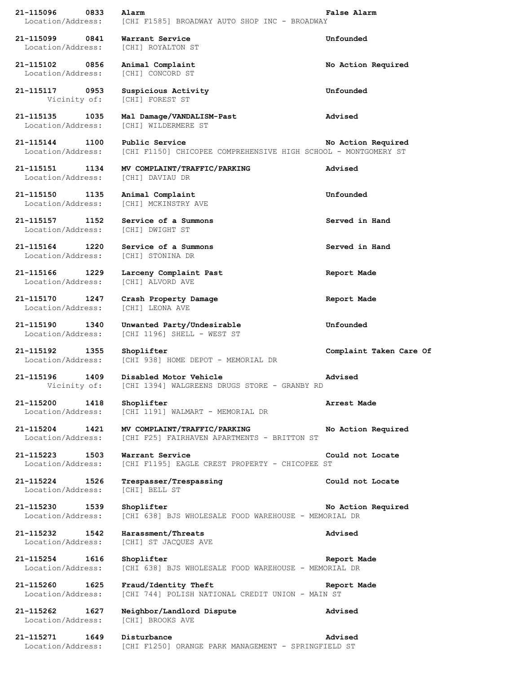| 21-115096<br>0833<br>Location/Address: | Alarm<br>[CHI F1585] BROADWAY AUTO SHOP INC - BROADWAY                           | False Alarm             |
|----------------------------------------|----------------------------------------------------------------------------------|-------------------------|
|                                        |                                                                                  |                         |
| 21-115099 0841<br>Location/Address:    | Warrant Service<br>[CHI] ROYALTON ST                                             | Unfounded               |
| 21-115102 0856<br>Location/Address:    | Animal Complaint<br>[CHI] CONCORD ST                                             | No Action Required      |
| 21-115117<br>0953<br>Vicinity of:      | Suspicious Activity<br>[CHI] FOREST ST                                           | Unfounded               |
| 21-115135<br>1035<br>Location/Address: | Mal Damage/VANDALISM-Past<br>[CHI] WILDERMERE ST                                 | Advised                 |
| 21-115144 1100<br>Location/Address:    | Public Service<br>[CHI F1150] CHICOPEE COMPREHENSIVE HIGH SCHOOL - MONTGOMERY ST | No Action Required      |
| 21-115151 1134<br>Location/Address:    | MV COMPLAINT/TRAFFIC/PARKING<br>[CHI] DAVIAU DR                                  | Advised                 |
| 21-115150 1135<br>Location/Address:    | Animal Complaint<br>[CHI] MCKINSTRY AVE                                          | Unfounded               |
| 21-115157 1152<br>Location/Address:    | Service of a Summons<br>[CHI] DWIGHT ST                                          | Served in Hand          |
| 21-115164 1220<br>Location/Address:    | Service of a Summons<br>[CHI] STONINA DR                                         | Served in Hand          |
| 21-115166<br>1229<br>Location/Address: | Larceny Complaint Past<br>[CHI] ALVORD AVE                                       | Report Made             |
| 21-115170 1247<br>Location/Address:    | Crash Property Damage<br>[CHI] LEONA AVE                                         | Report Made             |
| 21-115190<br>1340<br>Location/Address: | Unwanted Party/Undesirable<br>[CHI 1196] SHELL - WEST ST                         | Unfounded               |
| 21-115192<br>1355<br>Location/Address: | Shoplifter<br>[CHI 938] HOME DEPOT - MEMORIAL DR                                 | Complaint Taken Care Of |
| 21-115196<br>1409<br>Vicinity of:      | Disabled Motor Vehicle<br>[CHI 1394] WALGREENS DRUGS STORE - GRANBY RD           | Advised                 |
| 1418<br>21-115200<br>Location/Address: | Shoplifter<br>[CHI 1191] WALMART - MEMORIAL DR                                   | Arrest Made             |
| 21-115204 1421<br>Location/Address:    | MV COMPLAINT/TRAFFIC/PARKING<br>[CHI F25] FAIRHAVEN APARTMENTS - BRITTON ST      | No Action Required      |
| 21-115223<br>1503<br>Location/Address: | Warrant Service<br>[CHI F1195] EAGLE CREST PROPERTY - CHICOPEE ST                | Could not Locate        |
| 21-115224<br>1526<br>Location/Address: | Trespasser/Trespassing<br>[CHI] BELL ST                                          | Could not Locate        |
| 21-115230 1539<br>Location/Address:    | Shoplifter<br>[CHI 638] BJS WHOLESALE FOOD WAREHOUSE - MEMORIAL DR               | No Action Required      |
| 21-115232<br>1542<br>Location/Address: | Harassment/Threats<br>[CHI] ST JACQUES AVE                                       | Advised                 |
| 21-115254 1616<br>Location/Address:    | Shoplifter<br>[CHI 638] BJS WHOLESALE FOOD WAREHOUSE - MEMORIAL DR               | Report Made             |
| 21-115260<br>1625<br>Location/Address: | Fraud/Identity Theft<br>[CHI 744] POLISH NATIONAL CREDIT UNION - MAIN ST         | Report Made             |
| 21-115262<br>1627<br>Location/Address: | Neighbor/Landlord Dispute<br>[CHI] BROOKS AVE                                    | Advised                 |
| 21-115271<br>1649<br>Location/Address: | Disturbance<br>[CHI F1250] ORANGE PARK MANAGEMENT - SPRINGFIELD ST               | Advised                 |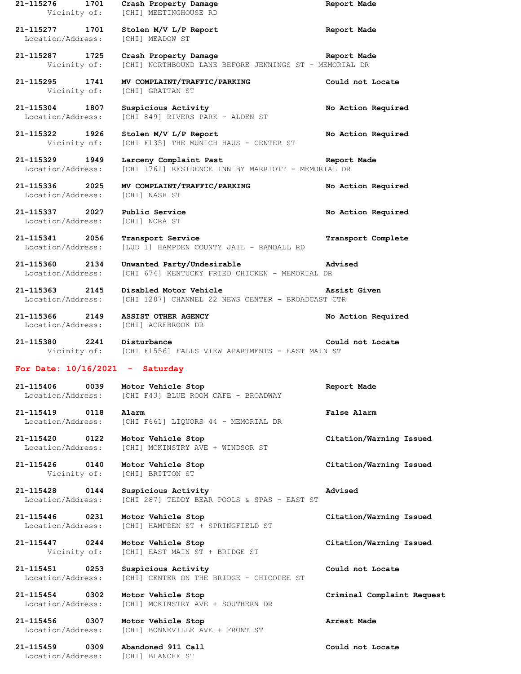| 21-115276 1701<br>Vicinity of:         | Crash Property Damage<br>[CHI] MEETINGHOUSE RD                                  | Report Made                |
|----------------------------------------|---------------------------------------------------------------------------------|----------------------------|
| 21-115277 1701<br>Location/Address:    | Stolen M/V L/P Report<br>[CHI] MEADOW ST                                        | Report Made                |
| 21-115287 1725<br>Vicinity of:         | Crash Property Damage<br>[CHI] NORTHBOUND LANE BEFORE JENNINGS ST - MEMORIAL DR | Report Made                |
| 21-115295 1741<br>Vicinity of:         | MV COMPLAINT/TRAFFIC/PARKING<br>[CHI] GRATTAN ST                                | Could not Locate           |
| 21-115304 1807<br>Location/Address:    | Suspicious Activity<br>[CHI 849] RIVERS PARK - ALDEN ST                         | No Action Required         |
| 21-115322 1926<br>Vicinity of:         | Stolen M/V L/P Report<br>[CHI F135] THE MUNICH HAUS - CENTER ST                 | No Action Required         |
| 21-115329 1949<br>Location/Address:    | Larceny Complaint Past<br>[CHI 1761] RESIDENCE INN BY MARRIOTT - MEMORIAL DR    | Report Made                |
| 21-115336 2025<br>Location/Address:    | MV COMPLAINT/TRAFFIC/PARKING<br>[CHI] NASH ST                                   | No Action Required         |
| 21-115337 2027<br>Location/Address:    | Public Service<br>[CHI] NORA ST                                                 | No Action Required         |
| 21-115341 2056<br>Location/Address:    | Transport Service<br>[LUD 1] HAMPDEN COUNTY JAIL - RANDALL RD                   | Transport Complete         |
| 21-115360 2134<br>Location/Address:    | Unwanted Party/Undesirable<br>[CHI 674] KENTUCKY FRIED CHICKEN - MEMORIAL DR    | Advised                    |
| 21-115363 2145<br>Location/Address:    | Disabled Motor Vehicle<br>[CHI 1287] CHANNEL 22 NEWS CENTER - BROADCAST CTR     | Assist Given               |
| 21-115366 2149<br>Location/Address:    | ASSIST OTHER AGENCY<br>[CHI] ACREBROOK DR                                       | No Action Required         |
| 21-115380 2241 Disturbance             | Vicinity of: [CHI F1556] FALLS VIEW APARTMENTS - EAST MAIN ST                   | Could not Locate           |
| For Date: $10/16/2021$ - Saturday      |                                                                                 |                            |
| 21-115406<br>0039<br>Location/Address: | Motor Vehicle Stop<br>[CHI F43] BLUE ROOM CAFE - BROADWAY                       | Report Made                |
| 21-115419<br>0118<br>Location/Address: | Alarm<br>[CHI F661] LIQUORS 44 - MEMORIAL DR                                    | <b>False Alarm</b>         |
| 21-115420<br>0122<br>Location/Address: | Motor Vehicle Stop<br>[CHI] MCKINSTRY AVE + WINDSOR ST                          | Citation/Warning Issued    |
| 21-115426 0140<br>Vicinity of:         | Motor Vehicle Stop<br>[CHI] BRITTON ST                                          | Citation/Warning Issued    |
| 21-115428<br>0144<br>Location/Address: | Suspicious Activity<br>[CHI 287] TEDDY BEAR POOLS & SPAS - EAST ST              | Advised                    |
| 21-115446 0231<br>Location/Address:    | Motor Vehicle Stop<br>[CHI] HAMPDEN ST + SPRINGFIELD ST                         | Citation/Warning Issued    |
| 0244<br>21-115447<br>Vicinity of:      | Motor Vehicle Stop<br>[CHI] EAST MAIN ST + BRIDGE ST                            | Citation/Warning Issued    |
| 21-115451<br>0253<br>Location/Address: | Suspicious Activity<br>[CHI] CENTER ON THE BRIDGE - CHICOPEE ST                 | Could not Locate           |
| 21-115454<br>0302<br>Location/Address: | Motor Vehicle Stop<br>[CHI] MCKINSTRY AVE + SOUTHERN DR                         | Criminal Complaint Request |
| 21-115456<br>0307<br>Location/Address: | Motor Vehicle Stop<br>[CHI] BONNEVILLE AVE + FRONT ST                           | Arrest Made                |
| 21-115459<br>0309<br>Location/Address: | Abandoned 911 Call<br>[CHI] BLANCHE ST                                          | Could not Locate           |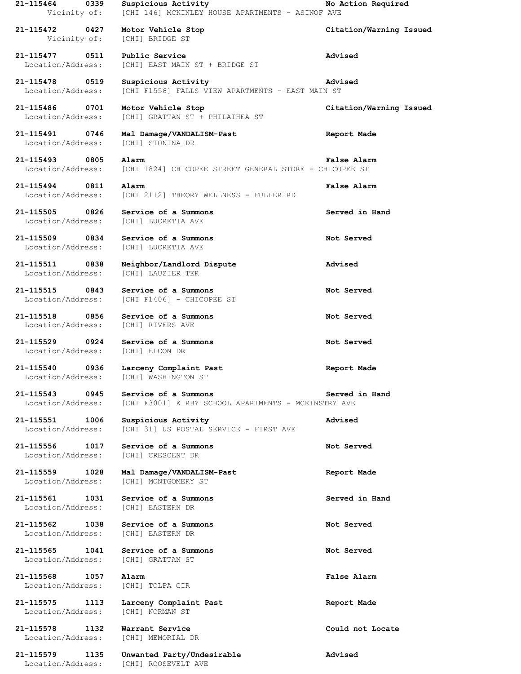**21-115464 0339 Suspicious Activity No Action Required** Vicinity of: [CHI 146] MCKINLEY HOUSE APARTMENTS - ASINOF AVE **21-115472 0427 Motor Vehicle Stop Citation/Warning Issued** Vicinity of: [CHI] BRIDGE ST **21-115477 0511 Public Service Advised** Location/Address: [CHI] EAST MAIN ST + BRIDGE ST **21-115478 0519 Suspicious Activity Advised** Location/Address: [CHI F1556] FALLS VIEW APARTMENTS - EAST MAIN ST **21-115486 0701 Motor Vehicle Stop Citation/Warning Issued** Location/Address: [CHI] GRATTAN ST + PHILATHEA ST **21-115491 0746 Mal Damage/VANDALISM-Past Report Made** Location/Address: [CHI] STONINA DR **21-115493 0805 Alarm False Alarm** Location/Address: [CHI 1824] CHICOPEE STREET GENERAL STORE - CHICOPEE ST **21-115494 0811 Alarm False Alarm** Location/Address: [CHI 2112] THEORY WELLNESS - FULLER RD **21-115505 0826 Service of a Summons Served in Hand** Location/Address: [CHI] LUCRETIA AVE **21-115509 0834 Service of a Summons Not Served** Location/Address: [CHI] LUCRETIA AVE **21-115511 0838 Neighbor/Landlord Dispute Advised** Location/Address: [CHI] LAUZIER TER **21-115515 0843 Service of a Summons Not Served** Location/Address: [CHI F1406] - CHICOPEE ST **21-115518 0856 Service of a Summons Not Served** Location/Address: [CHI] RIVERS AVE **21-115529 0924 Service of a Summons Not Served** Location/Address: [CHI] ELCON DR **21-115540 0936 Larceny Complaint Past Report Made** Location/Address: [CHI] WASHINGTON ST **21-115543 0945 Service of a Summons Served in Hand** Location/Address: [CHI F3001] KIRBY SCHOOL APARTMENTS - MCKINSTRY AVE **21-115551 1006 Suspicious Activity Advised** Location/Address: [CHI 31] US POSTAL SERVICE - FIRST AVE **21-115556 1017 Service of a Summons Not Served** Location/Address: [CHI] CRESCENT DR **21-115559 1028 Mal Damage/VANDALISM-Past Report Made** Location/Address: [CHI] MONTGOMERY ST **21-115561 1031 Service of a Summons Served in Hand** Location/Address: [CHI] EASTERN DR **21-115562 1038 Service of a Summons Not Served** Location/Address: [CHI] EASTERN DR **21-115565 1041 Service of a Summons Not Served** Location/Address: [CHI] GRATTAN ST **21-115568 1057 Alarm False Alarm** Location/Address: [CHI] TOLPA CIR **21-115575 1113 Larceny Complaint Past Report Made** Location/Address: [CHI] NORMAN ST **21-115578 1132 Warrant Service Could not Locate** Location/Address: [CHI] MEMORIAL DR **21-115579 1135 Unwanted Party/Undesirable Advised**

Location/Address: [CHI] ROOSEVELT AVE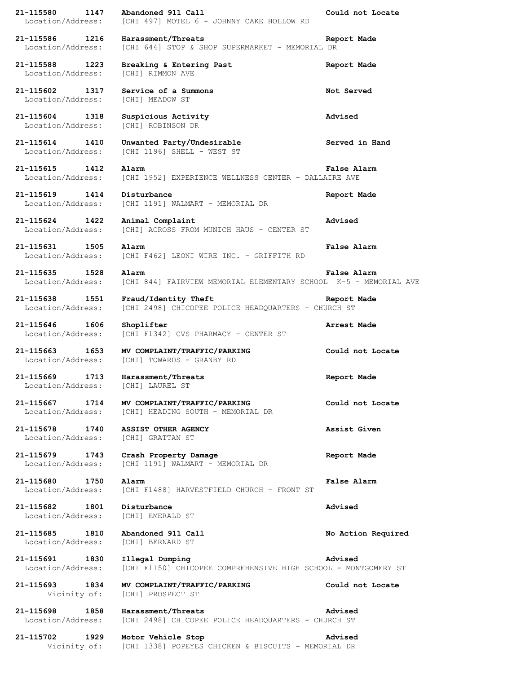**21-115580 1147 Abandoned 911 Call Could not Locate** Location/Address: [CHI 497] MOTEL 6 - JOHNNY CAKE HOLLOW RD **21-115586 1216 Harassment/Threats Report Made** Location/Address: [CHI 644] STOP & SHOP SUPERMARKET - MEMORIAL DR **21-115588 1223 Breaking & Entering Past Report Made** Location/Address: [CHI] RIMMON AVE **21-115602 1317 Service of a Summons Not Served** Location/Address: [CHI] MEADOW ST **21-115604 1318 Suspicious Activity Advised** Location/Address: [CHI] ROBINSON DR **21-115614 1410 Unwanted Party/Undesirable Served in Hand** Location/Address: [CHI 1196] SHELL - WEST ST **21-115615 1412 Alarm False Alarm** Location/Address: [CHI 1952] EXPERIENCE WELLNESS CENTER - DALLAIRE AVE **21-115619 1414 Disturbance Report Made** Location/Address: [CHI 1191] WALMART - MEMORIAL DR **21-115624 1422 Animal Complaint Advised** Location/Address: [CHI] ACROSS FROM MUNICH HAUS - CENTER ST **21-115631 1505 Alarm False Alarm** Location/Address: [CHI F462] LEONI WIRE INC. - GRIFFITH RD **21-115635 1528 Alarm False Alarm** Location/Address: [CHI 844] FAIRVIEW MEMORIAL ELEMENTARY SCHOOL K-5 - MEMORIAL AVE **21-115638 1551 Fraud/Identity Theft Report Made** Location/Address: [CHI 2498] CHICOPEE POLICE HEADQUARTERS - CHURCH ST **21-115646 1606 Shoplifter Arrest Made** Location/Address: [CHI F1342] CVS PHARMACY - CENTER ST **21-115663 1653 MV COMPLAINT/TRAFFIC/PARKING Could not Locate** Location/Address: [CHI] TOWARDS - GRANBY RD **21-115669 1713 Harassment/Threats Report Made** Location/Address: [CHI] LAUREL ST **21-115667 1714 MV COMPLAINT/TRAFFIC/PARKING Could not Locate** Location/Address: [CHI] HEADING SOUTH - MEMORIAL DR **21-115678 1740 ASSIST OTHER AGENCY Assist Given** Location/Address: [CHI] GRATTAN ST **21-115679 1743 Crash Property Damage Report Made** Location/Address: [CHI 1191] WALMART - MEMORIAL DR **21-115680 1750 Alarm False Alarm** Location/Address: [CHI F1488] HARVESTFIELD CHURCH - FRONT ST **21-115682 1801 Disturbance Advised** Location/Address: [CHI] EMERALD ST **21-115685 1810 Abandoned 911 Call No Action Required** Location/Address: [CHI] BERNARD ST **21-115691 1830 Illegal Dumping Advised** Location/Address: [CHI F1150] CHICOPEE COMPREHENSIVE HIGH SCHOOL - MONTGOMERY ST **21-115693 1834 MV COMPLAINT/TRAFFIC/PARKING Could not Locate** Vicinity of: [CHI] PROSPECT ST **21-115698 1858 Harassment/Threats Advised** Location/Address: [CHI 2498] CHICOPEE POLICE HEADQUARTERS - CHURCH ST **21-115702 1929 Motor Vehicle Stop Advised** Vicinity of: [CHI 1338] POPEYES CHICKEN & BISCUITS - MEMORIAL DR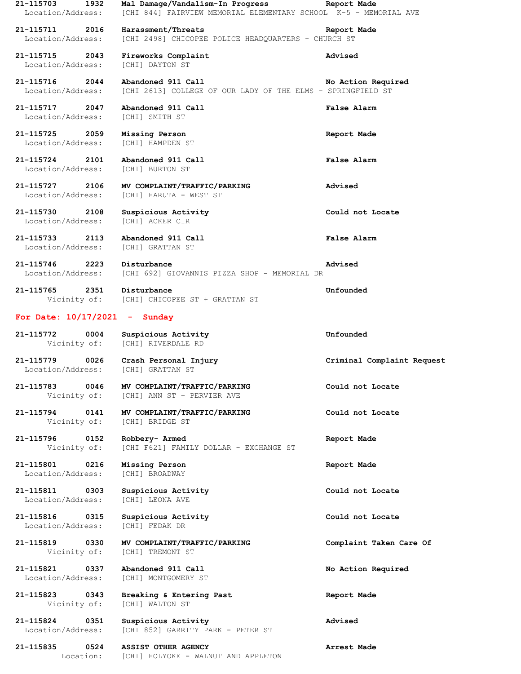| 21-115703<br>1932<br>Location/Address:            | Mal Damage/Vandalism-In Progress<br>[CHI 844] FAIRVIEW MEMORIAL ELEMENTARY SCHOOL K-5 - MEMORIAL AVE | Report Made                |
|---------------------------------------------------|------------------------------------------------------------------------------------------------------|----------------------------|
|                                                   |                                                                                                      |                            |
| 21-115711<br>2016<br>Location/Address:            | Harassment/Threats<br>[CHI 2498] CHICOPEE POLICE HEADQUARTERS - CHURCH ST                            | Report Made                |
| 21-115715 2043<br>Location/Address:               | Fireworks Complaint<br>[CHI] DAYTON ST                                                               | Advised                    |
| 21-115716<br>2044<br>Location/Address:            | Abandoned 911 Call<br>[CHI 2613] COLLEGE OF OUR LADY OF THE ELMS - SPRINGFIELD ST                    | No Action Required         |
| 21-115717 2047<br>Location/Address:               | Abandoned 911 Call<br>[CHI] SMITH ST                                                                 | False Alarm                |
| 21-115725<br>2059<br>Location/Address:            | Missing Person<br>[CHI] HAMPDEN ST                                                                   | Report Made                |
| 21-115724<br>2101<br>Location/Address:            | Abandoned 911 Call<br>[CHI] BURTON ST                                                                | False Alarm                |
| 21-115727 2106<br>Location/Address:               | MV COMPLAINT/TRAFFIC/PARKING<br>[CHI] HARUTA - WEST ST                                               | Advised                    |
| 21-115730<br>2108<br>Location/Address:            | Suspicious Activity<br>[CHI] ACKER CIR                                                               | Could not Locate           |
| 21-115733<br>2113<br>Location/Address:            | Abandoned 911 Call<br>[CHI] GRATTAN ST                                                               | False Alarm                |
| 21-115746<br>2223<br>Location/Address:            | Disturbance<br>[CHI 692] GIOVANNIS PIZZA SHOP - MEMORIAL DR                                          | Advised                    |
| 21-115765<br>2351                                 | Disturbance<br>Vicinity of: [CHI] CHICOPEE ST + GRATTAN ST                                           | Unfounded                  |
| For Date: $10/17/2021 -$                          | Sunday                                                                                               |                            |
| 0004<br>21-115772<br>Vicinity of:                 | Suspicious Activity<br>[CHI] RIVERDALE RD                                                            | Unfounded                  |
| 21-115779<br>0026<br>Location/Address:            | Crash Personal Injury<br>[CHI] GRATTAN ST                                                            | Criminal Complaint Request |
| 21-115783<br>0046<br>Vicinity of:                 | MV COMPLAINT/TRAFFIC/PARKING<br>[CHI] ANN ST + PERVIER AVE                                           | Could not Locate           |
| 21-115794<br>0141<br>Vicinity of:                 | MV COMPLAINT/TRAFFIC/PARKING<br>[CHI] BRIDGE ST                                                      | Could not Locate           |
| 0152<br>21-115796<br>Vicinity of:                 | Robbery- Armed<br>[CHI F621] FAMILY DOLLAR - EXCHANGE ST                                             | Report Made                |
| 0216<br>21-115801<br>Location/Address:            | Missing Person<br>[CHI] BROADWAY                                                                     | Report Made                |
| 21-115811 0303<br>Location/Address:               | Suspicious Activity<br>[CHI] LEONA AVE                                                               | Could not Locate           |
| 21-115816 0315<br>Location/Address:               | Suspicious Activity<br>[CHI] FEDAK DR                                                                | Could not Locate           |
| 21-115819 0330                                    | MV COMPLAINT/TRAFFIC/PARKING<br>Vicinity of: [CHI] TREMONT ST                                        | Complaint Taken Care Of    |
| 21-115821<br>0337<br>Location/Address:            | Abandoned 911 Call<br>[CHI] MONTGOMERY ST                                                            | No Action Required         |
| 21-115823<br>0343<br>Vicinity of: [CHI] WALTON ST | Breaking & Entering Past                                                                             | Report Made                |
| 21-115824<br>0351<br>Location/Address:            | Suspicious Activity<br>[CHI 852] GARRITY PARK - PETER ST                                             | Advised                    |
| 21-115835<br>0524<br>Location:                    | ASSIST OTHER AGENCY<br>[CHI] HOLYOKE - WALNUT AND APPLETON                                           | Arrest Made                |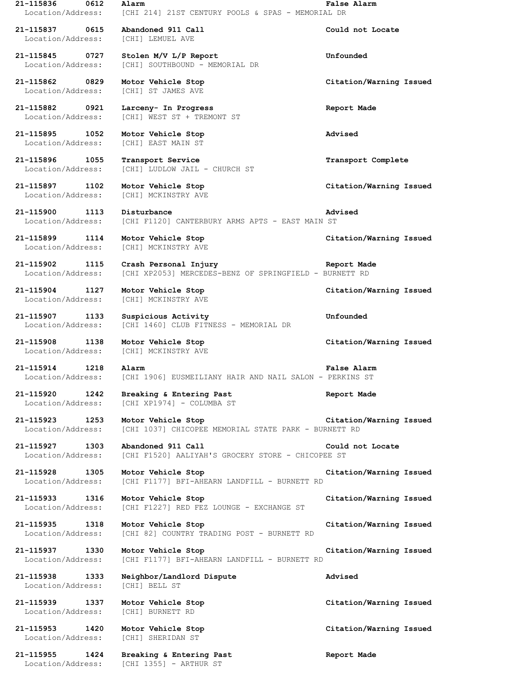Location/Address: [CHI] LEMUEL AVE

Location/Address: [CHI 1906] EUSMEILIANY HAIR AND NAIL SALON - PERKINS ST

Location/Address: [CHI XP1974] - COLUMBA ST

**21-115955 1424 Breaking & Entering Past Report Made** Location/Address: [CHI 1355] - ARTHUR ST

**21-115836 0612 Alarm False Alarm** Location/Address: [CHI 214] 21ST CENTURY POOLS & SPAS - MEMORIAL DR

**21-115837 0615 Abandoned 911 Call Could not Locate**

**21-115845 0727 Stolen M/V L/P Report Unfounded** Location/Address: [CHI] SOUTHBOUND - MEMORIAL DR

**21-115862 0829 Motor Vehicle Stop Citation/Warning Issued** Location/Address: [CHI] ST JAMES AVE

**21-115882 0921 Larceny- In Progress Report Made** Location/Address: [CHI] WEST ST + TREMONT ST

**21-115895 1052 Motor Vehicle Stop Advised** Location/Address: [CHI] EAST MAIN ST

**21-115896 1055 Transport Service Transport Complete** Location/Address: [CHI] LUDLOW JAIL - CHURCH ST

**21-115897 1102 Motor Vehicle Stop Citation/Warning Issued** Location/Address: [CHI] MCKINSTRY AVE

**21-115900 1113 Disturbance Advised** Location/Address: [CHI F1120] CANTERBURY ARMS APTS - EAST MAIN ST

**21-115899 1114 Motor Vehicle Stop Citation/Warning Issued** Location/Address: [CHI] MCKINSTRY AVE

**21-115902 1115 Crash Personal Injury Report Made** Location/Address: [CHI XP2053] MERCEDES-BENZ OF SPRINGFIELD - BURNETT RD

**21-115904 1127 Motor Vehicle Stop Citation/Warning Issued** Location/Address: [CHI] MCKINSTRY AVE

**21-115907 1133 Suspicious Activity Unfounded** Location/Address: [CHI 1460] CLUB FITNESS - MEMORIAL DR

Location/Address: [CHI] MCKINSTRY AVE

**21-115914 1218 Alarm False Alarm**

**21-115920 1242 Breaking & Entering Past Report Made**

**21-115923 1253 Motor Vehicle Stop Citation/Warning Issued** Location/Address: [CHI 1037] CHICOPEE MEMORIAL STATE PARK - BURNETT RD

**21-115927 1303 Abandoned 911 Call Could not Locate** Location/Address: [CHI F1520] AALIYAH'S GROCERY STORE - CHICOPEE ST

**21-115928 1305 Motor Vehicle Stop Citation/Warning Issued** Location/Address: [CHI F1177] BFI-AHEARN LANDFILL - BURNETT RD

**21-115933 1316 Motor Vehicle Stop Citation/Warning Issued** Location/Address: [CHI F1227] RED FEZ LOUNGE - EXCHANGE ST

**21-115935 1318 Motor Vehicle Stop Citation/Warning Issued** Location/Address: [CHI 82] COUNTRY TRADING POST - BURNETT RD

**21-115937 1330 Motor Vehicle Stop Citation/Warning Issued** Location/Address: [CHI F1177] BFI-AHEARN LANDFILL - BURNETT RD

**21-115938 1333 Neighbor/Landlord Dispute Advised** Location/Address: [CHI] BELL ST

Location/Address: [CHI] BURNETT RD

Location/Address: [CHI] SHERIDAN ST

**21-115908 1138 Motor Vehicle Stop Citation/Warning Issued**

**21-115939 1337 Motor Vehicle Stop Citation/Warning Issued**

**21-115953 1420 Motor Vehicle Stop Citation/Warning Issued**